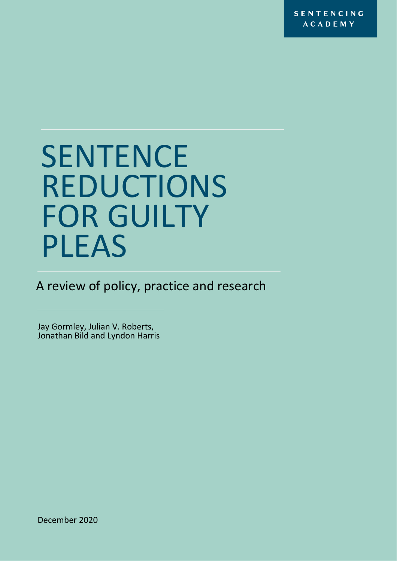**SENTENCING ACADEMY** 

# **SENTENCE** REDUCTIONS FOR GUILTY PLEAS

A review of policy, practice and research

Jay Gormley, Julian V. Roberts, Jonathan Bild and Lyndon Harris

December 2020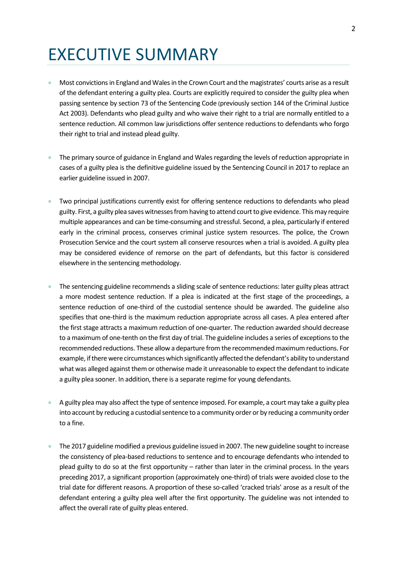## EXECUTIVE SUMMARY

- Most convictions in England and Wales in the Crown Court and the magistrates' courts arise as a result of the defendant entering a guilty plea. Courts are explicitly required to consider the guilty plea when passing sentence by section 73 of the Sentencing Code (previously section 144 of the Criminal Justice Act 2003). Defendants who plead guilty and who waive their right to a trial are normally entitled to a sentence reduction. All common law jurisdictions offer sentence reductions to defendants who forgo their right to trial and instead plead guilty.
- The primary source of guidance in England and Wales regarding the levels of reduction appropriate in cases of a guilty plea is the definitive guideline issued by the Sentencing Council in 2017 to replace an earlier guideline issued in 2007.
- Two principal justifications currently exist for offering sentence reductions to defendants who plead guilty. First, a guilty plea saves witnesses from having to attend court to give evidence. This may require multiple appearances and can be time-consuming and stressful. Second, a plea, particularly if entered early in the criminal process, conserves criminal justice system resources. The police, the Crown Prosecution Service and the court system all conserve resources when a trial is avoided. A guilty plea may be considered evidence of remorse on the part of defendants, but this factor is considered elsewhere in the sentencing methodology.
- The sentencing guideline recommends a sliding scale of sentence reductions: later guilty pleas attract a more modest sentence reduction. If a plea is indicated at the first stage of the proceedings, a sentence reduction of one-third of the custodial sentence should be awarded. The guideline also specifies that one-third is the maximum reduction appropriate across all cases. A plea entered after the first stage attracts a maximum reduction of one-quarter. The reduction awarded should decrease to a maximum of one-tenth on the first day of trial. The guideline includes a series of exceptions to the recommended reductions. These allow a departure from the recommended maximum reductions. For example, if there were circumstances which significantly affected the defendant's ability to understand what was alleged against them or otherwise made it unreasonable to expect the defendant to indicate a guilty plea sooner. In addition, there is a separate regime for young defendants.
- A guilty plea may also affect the type of sentence imposed. For example, a court may take a guilty plea into account by reducing a custodial sentence to a community order or by reducing a community order to a fine.
- The 2017 guideline modified a previous guideline issued in 2007. The new guideline sought to increase the consistency of plea-based reductions to sentence and to encourage defendants who intended to plead guilty to do so at the first opportunity – rather than later in the criminal process. In the years preceding 2017, a significant proportion (approximately one-third) of trials were avoided close to the trial date for different reasons. A proportion of these so-called 'cracked trials' arose as a result of the defendant entering a guilty plea well after the first opportunity. The guideline was not intended to affect the overall rate of guilty pleas entered.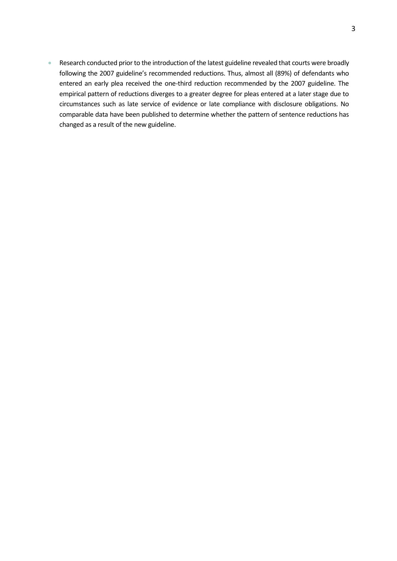• Research conducted prior to the introduction of the latest guideline revealed that courts were broadly following the 2007 guideline's recommended reductions. Thus, almost all (89%) of defendants who entered an early plea received the one-third reduction recommended by the 2007 guideline. The empirical pattern of reductions diverges to a greater degree for pleas entered at a later stage due to circumstances such as late service of evidence or late compliance with disclosure obligations. No comparable data have been published to determine whether the pattern of sentence reductions has changed as a result of the new guideline.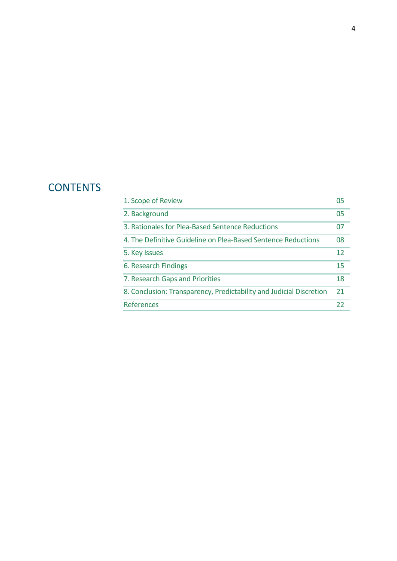### **CONTENTS**

| 1. Scope of Review                                                  | 05 |
|---------------------------------------------------------------------|----|
| 2. Background                                                       | 05 |
| 3. Rationales for Plea-Based Sentence Reductions                    | 07 |
| 4. The Definitive Guideline on Plea-Based Sentence Reductions       | 08 |
| 5. Key Issues                                                       | 12 |
| 6. Research Findings                                                | 15 |
| 7. Research Gaps and Priorities                                     | 18 |
| 8. Conclusion: Transparency, Predictability and Judicial Discretion | 21 |
| References                                                          | 22 |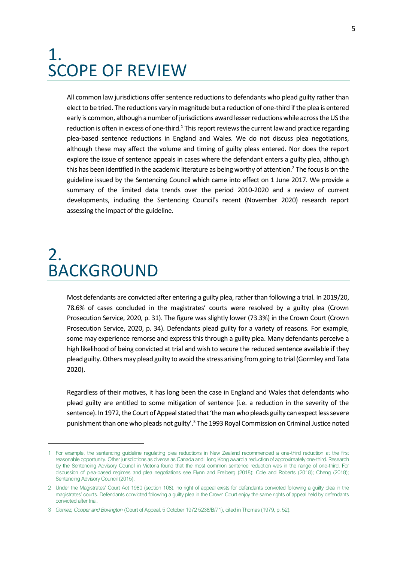### <span id="page-4-0"></span>1. SCOPE OF REVIEW

All common law jurisdictions offer sentence reductions to defendants who plead guilty rather than elect to be tried. The reductions vary in magnitude but a reduction of one-third if the plea is entered early is common, although a number of jurisdictions award lesser reductions while across the US the reduction is often in excess of one-third.<sup>1</sup> This report reviews the current law and practice regarding plea-based sentence reductions in England and Wales. We do not discuss plea negotiations, although these may affect the volume and timing of guilty pleas entered. Nor does the report explore the issue of sentence appeals in cases where the defendant enters a guilty plea, although this has been identified in the academic literature as being worthy of attention.<sup>2</sup> The focus is on the guideline issued by the Sentencing Council which came into effect on 1 June 2017. We provide a summary of the limited data trends over the period 2010-2020 and a review of current developments, including the Sentencing Council's recent (November 2020) research report assessing the impact of the guideline.

### <span id="page-4-1"></span>2. BACKGROUND

Most defendants are convicted after entering a guilty plea, rather than following a trial. In 2019/20, 78.6% of cases concluded in the magistrates' courts were resolved by a guilty plea (Crown Prosecution Service, 2020, p. 31). The figure was slightly lower (73.3%) in the Crown Court (Crown Prosecution Service, 2020, p. 34). Defendants plead guilty for a variety of reasons. For example, some may experience remorse and express this through a guilty plea. Many defendants perceive a high likelihood of being convicted at trial and wish to secure the reduced sentence available if they plead guilty. Others may plead guilty to avoid the stress arising from going to trial (Gormley and Tata 2020).

Regardless of their motives, it has long been the case in England and Wales that defendants who plead guilty are entitled to some mitigation of sentence (i.e. a reduction in the severity of the sentence). In 1972, the Court of Appeal stated that 'the man who pleads guilty can expect less severe punishment than one who pleads not guilty'.<sup>3</sup> The 1993 Royal Commission on Criminal Justice noted

<sup>1</sup> For example, the sentencing guideline regulating plea reductions in New Zealand recommended a one-third reduction at the first reasonable opportunity. Other jurisdictions as diverse as Canada and Hong Kong award a reduction of approximately one-third. Research by the Sentencing Advisory Council in Victoria found that the most common sentence reduction was in the range of one-third. For discussion of plea-based regimes and plea negotiations see Flynn and Freiberg (2018); Cole and Roberts (2018); Cheng (2018); Sentencing Advisory Council (2015).

<sup>2</sup> Under the Magistrates' Court Act 1980 (section 108), no right of appeal exists for defendants convicted following a guilty plea in the magistrates' courts. Defendants convicted following a guilty plea in the Crown Court enjoy the same rights of appeal held by defendants convicted after trial.

<sup>3</sup> *Gomez, Cooper and Bovington* (Court of Appeal, 5 October 1972 5238/B/71), cited in Thomas (1979, p. 52).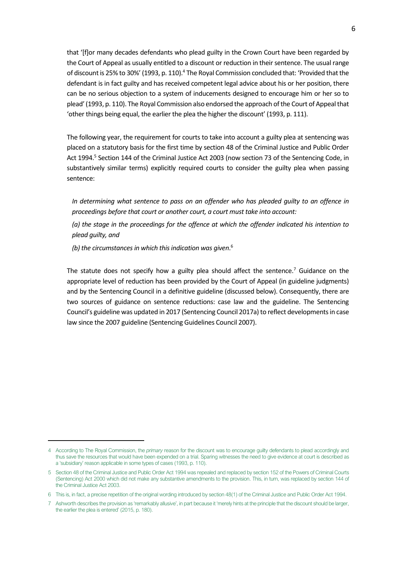that '[f]or many decades defendants who plead guilty in the Crown Court have been regarded by the Court of Appeal as usually entitled to a discount or reduction in their sentence. The usual range of discount is 25% to 30%' (1993, p. 110).<sup>4</sup> The Royal Commission concluded that: 'Provided that the defendant is in fact guilty and has received competent legal advice about his or her position, there can be no serious objection to a system of inducements designed to encourage him or her so to plead' (1993, p. 110). The Royal Commission also endorsed the approach of the Court of Appeal that 'other things being equal, the earlier the plea the higher the discount' (1993, p. 111).

The following year, the requirement for courts to take into account a guilty plea at sentencing was placed on a statutory basis for the first time by section 48 of the Criminal Justice and Public Order Act 1994.<sup>5</sup> Section 144 of the Criminal Justice Act 2003 (now section 73 of the Sentencing Code, in substantively similar terms) explicitly required courts to consider the guilty plea when passing sentence:

*In determining what sentence to pass on an offender who has pleaded guilty to an offence in proceedings before that court or another court, a court must take into account:*

*(a) the stage in the proceedings for the offence at which the offender indicated his intention to plead guilty, and*

*(b) the circumstances in which this indication was given*. 6

The statute does not specify how a guilty plea should affect the sentence.<sup>7</sup> Guidance on the appropriate level of reduction has been provided by the Court of Appeal (in guideline judgments) and by the Sentencing Council in a definitive guideline (discussed below). Consequently, there are two sources of guidance on sentence reductions: case law and the guideline. The Sentencing Council's guideline was updated in 2017 (Sentencing Council 2017a) to reflect developments in case law since the 2007 guideline (Sentencing Guidelines Council 2007).

<sup>4</sup> According to The Royal Commission, the *primary* reason for the discount was to encourage guilty defendants to plead accordingly and thus save the resources that would have been expended on a trial. Sparing witnesses the need to give evidence at court is described as a 'subsidiary' reason applicable in some types of cases (1993, p. 110).

<sup>5</sup> Section 48 of the Criminal Justice and Public Order Act 1994 was repealed and replaced by section 152 of the Powers of Criminal Courts (Sentencing) Act 2000 which did not make any substantive amendments to the provision. This, in turn, was replaced by section 144 of the Criminal Justice Act 2003.

<sup>6</sup> This is, in fact, a precise repetition of the original wording introduced by section 48(1) of the Criminal Justice and Public Order Act 1994.

<sup>7</sup> Ashworth describes the provision as 'remarkably allusive', in part because it 'merely hints at the principle that the discount should be larger, the earlier the plea is entered' (2015, p. 180).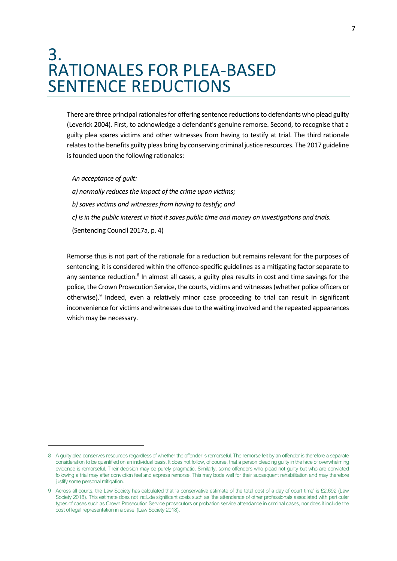### <span id="page-6-0"></span>3. RATIONALES FOR PLEA-BASED SENTENCE REDUCTIONS

There are three principal rationales for offering sentence reductions to defendants who plead guilty (Leverick 2004). First, to acknowledge a defendant's genuine remorse. Second, to recognise that a guilty plea spares victims and other witnesses from having to testify at trial. The third rationale relates to the benefits guilty pleas bring by conserving criminal justice resources. The 2017 guideline is founded upon the following rationales:

*An acceptance of guilt:*

*a) normally reduces the impact of the crime upon victims; b) saves victims and witnesses from having to testify; and c) is in the public interest in that it saves public time and money on investigations and trials.* (Sentencing Council 2017a, p. 4)

Remorse thus is not part of the rationale for a reduction but remains relevant for the purposes of sentencing; it is considered within the offence-specific guidelines as a mitigating factor separate to any sentence reduction.<sup>8</sup> In almost all cases, a guilty plea results in cost and time savings for the police, the Crown Prosecution Service, the courts, victims and witnesses (whether police officers or otherwise).<sup>9</sup> Indeed, even a relatively minor case proceeding to trial can result in significant inconvenience for victims and witnesses due to the waiting involved and the repeated appearances which may be necessary.

<sup>8</sup> A guilty plea conserves resources regardless of whether the offender is remorseful. The remorse felt by an offender is therefore a separate consideration to be quantified on an individual basis. It does not follow, of course, that a person pleading guilty in the face of overwhelming evidence is remorseful. Their decision may be purely pragmatic. Similarly, some offenders who plead not guilty but who are convicted following a trial may after conviction feel and express remorse. This may bode well for their subsequent rehabilitation and may therefore justify some personal mitigation.

<sup>9</sup> Across all courts, the Law Society has calculated that 'a conservative estimate of the total cost of a day of court time' is £2,692 (Law Society 2018). This estimate does not include significant costs such as 'the attendance of other professionals associated with particular types of cases such as Crown Prosecution Service prosecutors or probation service attendance in criminal cases, nor does it include the cost of legal representation in a case' (Law Society 2018).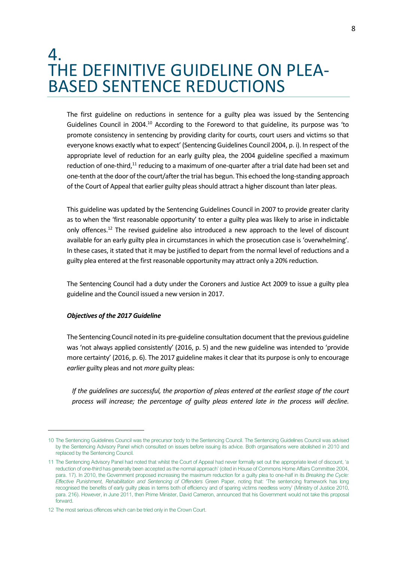### <span id="page-7-0"></span>4. THE DEFINITIVE GUIDELINE ON PLEA-BASED SENTENCE REDUCTIONS

The first guideline on reductions in sentence for a guilty plea was issued by the Sentencing Guidelines Council in 2004.<sup>10</sup> According to the Foreword to that guideline, its purpose was 'to promote consistency in sentencing by providing clarity for courts, court users and victims so that everyone knows exactly what to expect' (Sentencing Guidelines Council 2004, p. i). In respect of the appropriate level of reduction for an early guilty plea, the 2004 guideline specified a maximum reduction of one-third,<sup>11</sup> reducing to a maximum of one-quarter after a trial date had been set and one-tenth at the door of the court/after the trial has begun. This echoed the long-standing approach of the Court of Appeal that earlier guilty pleas should attract a higher discount than later pleas.

This guideline was updated by the Sentencing Guidelines Council in 2007 to provide greater clarity as to when the 'first reasonable opportunity' to enter a guilty plea was likely to arise in indictable only offences.<sup>12</sup> The revised guideline also introduced a new approach to the level of discount available for an early guilty plea in circumstances in which the prosecution case is 'overwhelming'. In these cases, it stated that it may be justified to depart from the normal level of reductions and a guilty plea entered at the first reasonable opportunity may attract only a 20% reduction.

The Sentencing Council had a duty under the Coroners and Justice Act 2009 to issue a guilty plea guideline and the Council issued a new version in 2017.

#### *Objectives of the 2017 Guideline*

The Sentencing Council noted in its pre-guideline consultation document that the previous guideline was 'not always applied consistently' (2016, p. 5) and the new guideline was intended to 'provide more certainty' (2016, p. 6). The 2017 guideline makes it clear that its purpose is only to encourage *earlier* guilty pleas and not *more* guilty pleas:

*If the guidelines are successful, the proportion of pleas entered at the earliest stage of the court process will increase; the percentage of guilty pleas entered late in the process will decline.* 

<sup>10</sup> The Sentencing Guidelines Council was the precursor body to the Sentencing Council. The Sentencing Guidelines Council was advised by the Sentencing Advisory Panel which consulted on issues before issuing its advice. Both organisations were abolished in 2010 and replaced by the Sentencing Council.

<sup>11</sup> The Sentencing Advisory Panel had noted that whilst the Court of Appeal had never formally set out the appropriate level of discount, 'a reduction of one-third has generally been accepted as the normal approach' (cited in House of Commons Home Affairs Committee 2004, para. 17). In 2010, the Government proposed increasing the maximum reduction for a guilty plea to one-half in its *Breaking the Cycle: Effective Punishment, Rehabilitation and Sentencing of Offenders* Green Paper, noting that: 'The sentencing framework has long recognised the benefits of early guilty pleas in terms both of efficiency and of sparing victims needless worry' (Ministry of Justice 2010, para. 216). However, in June 2011, then Prime Minister, David Cameron, announced that his Government would not take this proposal forward.

<sup>12</sup> The most serious offences which can be tried only in the Crown Court.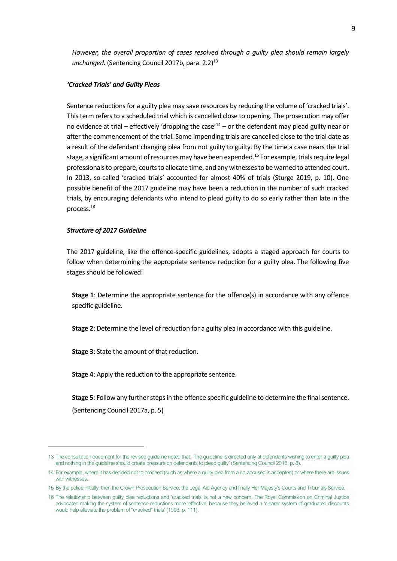*However, the overall proportion of cases resolved through a guilty plea should remain largely unchanged.* (Sentencing Council 2017b, para. 2.2)<sup>13</sup>

#### *'Cracked Trials' and Guilty Pleas*

Sentence reductions for a guilty plea may save resources by reducing the volume of 'cracked trials'. This term refers to a scheduled trial which is cancelled close to opening. The prosecution may offer no evidence at trial – effectively 'dropping the case'<sup>14</sup> – or the defendant may plead guilty near or after the commencement of the trial. Some impending trials are cancelled close to the trial date as a result of the defendant changing plea from not guilty to guilty. By the time a case nears the trial stage, a significant amount of resources may have been expended.<sup>15</sup> For example, trials require legal professionals to prepare, courts to allocate time, and any witnesses to be warned to attended court. In 2013, so-called 'cracked trials' accounted for almost 40% of trials (Sturge 2019, p. 10). One possible benefit of the 2017 guideline may have been a reduction in the number of such cracked trials, by encouraging defendants who intend to plead guilty to do so early rather than late in the process.<sup>16</sup>

#### *Structure of 2017 Guideline*

The 2017 guideline, like the offence-specific guidelines, adopts a staged approach for courts to follow when determining the appropriate sentence reduction for a guilty plea. The following five stages should be followed:

**Stage 1**: Determine the appropriate sentence for the offence(s) in accordance with any offence specific guideline.

**Stage 2**: Determine the level of reduction for a guilty plea in accordance with this guideline.

**Stage 3**: State the amount of that reduction.

**Stage 4**: Apply the reduction to the appropriate sentence.

**Stage 5**: Follow any further steps in the offence specific guideline to determine the final sentence. (Sentencing Council 2017a, p. 5)

<sup>13</sup> The consultation document for the revised guideline noted that: 'The guideline is directed only at defendants wishing to enter a guilty plea and nothing in the guideline should create pressure on defendants to plead guilty' (Sentencing Council 2016, p. 8).

<sup>14</sup> For example, where it has decided not to proceed (such as where a guilty plea from a co-accused is accepted) or where there are issues with witnesses.

<sup>15</sup> By the police initially, then the Crown Prosecution Service, the Legal Aid Agency and finally Her Majesty's Courts and Tribunals Service.

<sup>16</sup> The relationship between guilty plea reductions and 'cracked trials' is not a new concern. The Royal Commission on Criminal Justice advocated making the system of sentence reductions more 'effective' because they believed a 'clearer system of graduated discounts would help alleviate the problem of "cracked" trials' (1993, p. 111).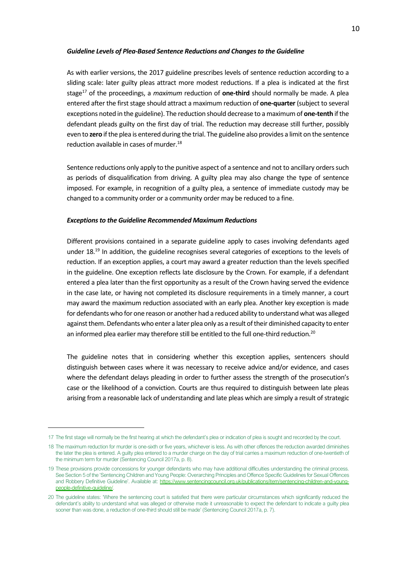#### *Guideline Levels of Plea-Based Sentence Reductions and Changes to the Guideline*

As with earlier versions, the 2017 guideline prescribes levels of sentence reduction according to a sliding scale: later guilty pleas attract more modest reductions. If a plea is indicated at the first stage<sup>17</sup> of the proceedings, a *maximum* reduction of **one-third** should normally be made. A plea entered after the first stage should attract a maximum reduction of **one-quarter** (subject to several exceptions noted in the guideline). The reduction should decrease to a maximum of **one-tenth** if the defendant pleads guilty on the first day of trial. The reduction may decrease still further, possibly even to **zero** if the plea is entered during the trial. The guideline also provides a limit on the sentence reduction available in cases of murder.<sup>18</sup>

Sentence reductions only apply to the punitive aspect of a sentence and not to ancillary orders such as periods of disqualification from driving. A guilty plea may also change the type of sentence imposed. For example, in recognition of a guilty plea, a sentence of immediate custody may be changed to a community order or a community order may be reduced to a fine.

#### *Exceptions to the Guideline Recommended Maximum Reductions*

Different provisions contained in a separate guideline apply to cases involving defendants aged under 18.<sup>19</sup> In addition, the guideline recognises several categories of exceptions to the levels of reduction. If an exception applies, a court may award a greater reduction than the levels specified in the guideline. One exception reflects late disclosure by the Crown. For example, if a defendant entered a plea later than the first opportunity as a result of the Crown having served the evidence in the case late, or having not completed its disclosure requirements in a timely manner, a court may award the maximum reduction associated with an early plea. Another key exception is made for defendants who for one reason or another had a reduced ability to understand what was alleged against them. Defendants who enter a later plea only as a result of their diminished capacity to enter an informed plea earlier may therefore still be entitled to the full one-third reduction.<sup>20</sup>

The guideline notes that in considering whether this exception applies, sentencers should distinguish between cases where it was necessary to receive advice and/or evidence, and cases where the defendant delays pleading in order to further assess the strength of the prosecution's case or the likelihood of a conviction. Courts are thus required to distinguish between late pleas arising from a reasonable lack of understanding and late pleas which are simply a result of strategic

<sup>17</sup> The first stage will normally be the first hearing at which the defendant's plea or indication of plea is sought and recorded by the court.

<sup>18</sup> The maximum reduction for murder is one-sixth or five years, whichever is less. As with other offences the reduction awarded diminishes the later the plea is entered. A guilty plea entered to a murder charge on the day of trial carries a maximum reduction of one-twentieth of the minimum term for murder (Sentencing Council 2017a, p. 8).

<sup>19</sup> These provisions provide concessions for younger defendants who may have additional difficulties understanding the criminal process. See Section 5 of the 'Sentencing Children and Young People: Overarching Principles and Offence Specific Guidelines for Sexual Offences and Robbery Definitive Guideline'. Available at: [https://www.sentencingcouncil.org.uk/publications/item/sentencing-children-and-young](https://www.sentencingcouncil.org.uk/publications/item/sentencing-children-and-young-people-definitive-guideline/)[people-definitive-guideline/.](https://www.sentencingcouncil.org.uk/publications/item/sentencing-children-and-young-people-definitive-guideline/)

<sup>20</sup> The guideline states: 'Where the sentencing court is satisfied that there were particular circumstances which significantly reduced the defendant's ability to understand what was alleged or otherwise made it unreasonable to expect the defendant to indicate a guilty plea sooner than was done, a reduction of one-third should still be made' (Sentencing Council 2017a, p. 7).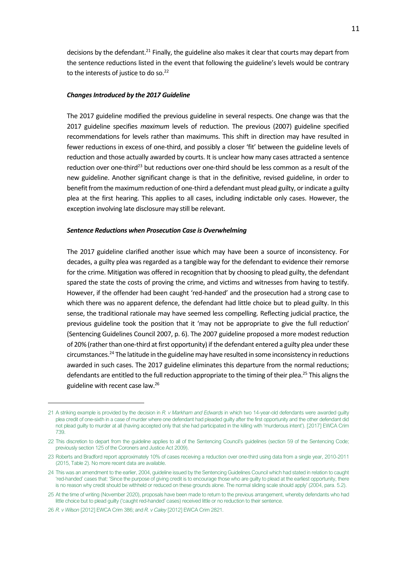decisions by the defendant.<sup>21</sup> Finally, the guideline also makes it clear that courts may depart from the sentence reductions listed in the event that following the guideline's levels would be contrary to the interests of justice to do so. $22$ 

#### *Changes Introduced by the 2017 Guideline*

The 2017 guideline modified the previous guideline in several respects. One change was that the 2017 guideline specifies *maximum* levels of reduction. The previous (2007) guideline specified recommendations for levels rather than maximums. This shift in direction may have resulted in fewer reductions in excess of one-third, and possibly a closer 'fit' between the guideline levels of reduction and those actually awarded by courts. It is unclear how many cases attracted a sentence reduction over one-third<sup>23</sup> but reductions over one-third should be less common as a result of the new guideline. Another significant change is that in the definitive, revised guideline, in order to benefit from the maximum reduction of one-third a defendant must plead guilty, or indicate a guilty plea at the first hearing. This applies to all cases, including indictable only cases. However, the exception involving late disclosure may still be relevant.

#### *Sentence Reductions when Prosecution Case is Overwhelming*

The 2017 guideline clarified another issue which may have been a source of inconsistency. For decades, a guilty plea was regarded as a tangible way for the defendant to evidence their remorse for the crime. Mitigation was offered in recognition that by choosing to plead guilty, the defendant spared the state the costs of proving the crime, and victims and witnesses from having to testify. However, if the offender had been caught 'red-handed' and the prosecution had a strong case to which there was no apparent defence, the defendant had little choice but to plead guilty. In this sense, the traditional rationale may have seemed less compelling. Reflecting judicial practice, the previous guideline took the position that it 'may not be appropriate to give the full reduction' (Sentencing Guidelines Council 2007, p. 6). The 2007 guideline proposed a more modest reduction of 20% (rather than one-third at first opportunity) if the defendant entered a guilty plea under these circumstances.<sup>24</sup> The latitude in the guideline may have resulted in some inconsistency in reductions awarded in such cases. The 2017 guideline eliminates this departure from the normal reductions; defendants are entitled to the full reduction appropriate to the timing of their plea.<sup>25</sup> This aligns the guideline with recent case law.<sup>26</sup>

<sup>21</sup> A striking example is provided by the decision in *R. v Markham and Edwards* in which two 14-year-old defendants were awarded guilty plea credit of one-sixth in a case of murder where one defendant had pleaded guilty after the first opportunity and the other defendant did not plead guilty to murder at all (having accepted only that she had participated in the killing with 'murderous intent'). [2017] EWCA Crim 739.

<sup>22</sup> This discretion to depart from the guideline applies to all of the Sentencing Council's guidelines (section 59 of the Sentencing Code; previously section 125 of the Coroners and Justice Act 2009).

<sup>23</sup> Roberts and Bradford report approximately 10% of cases receiving a reduction over one-third using data from a single year, 2010-2011 (2015, Table 2). No more recent data are available.

<sup>24</sup> This was an amendment to the earlier, 2004, guideline issued by the Sentencing Guidelines Council which had stated in relation to caught 'red-handed' cases that: 'Since the purpose of giving credit is to encourage those who are guilty to plead at the earliest opportunity, there is no reason why credit should be withheld or reduced on these grounds alone. The normal sliding scale should apply' (2004, para. 5.2).

<sup>25</sup> At the time of writing (November 2020), proposals have been made to return to the previous arrangement, whereby defendants who had little choice but to plead guilty ('caught red-handed' cases) received little or no reduction to their sentence.

<sup>26</sup> *R. v Wilson* [2012] EWCA Crim 386; and *R. v Caley* [2012] EWCA Crim 2821.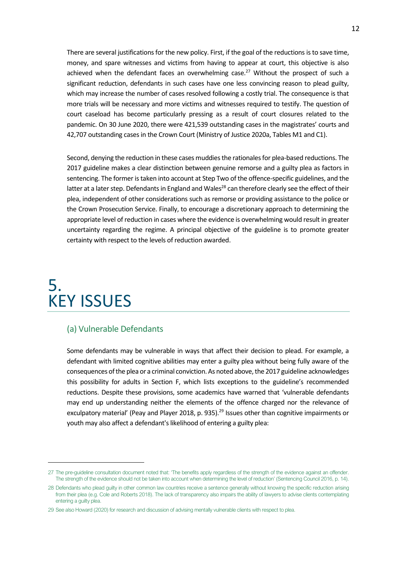There are several justifications for the new policy. First, if the goal of the reductions is to save time, money, and spare witnesses and victims from having to appear at court, this objective is also achieved when the defendant faces an overwhelming case.<sup>27</sup> Without the prospect of such a significant reduction, defendants in such cases have one less convincing reason to plead guilty, which may increase the number of cases resolved following a costly trial. The consequence is that more trials will be necessary and more victims and witnesses required to testify. The question of court caseload has become particularly pressing as a result of court closures related to the pandemic. On 30 June 2020, there were 421,539 outstanding cases in the magistrates' courts and 42,707 outstanding cases in the Crown Court (Ministry of Justice 2020a, Tables M1 and C1).

Second, denying the reduction in these cases muddies the rationales for plea-based reductions. The 2017 guideline makes a clear distinction between genuine remorse and a guilty plea as factors in sentencing. The former is taken into account at Step Two of the offence-specific guidelines, and the latter at a later step. Defendants in England and Wales<sup>28</sup> can therefore clearly see the effect of their plea, independent of other considerations such as remorse or providing assistance to the police or the Crown Prosecution Service. Finally, to encourage a discretionary approach to determining the appropriate level of reduction in cases where the evidence is overwhelming would result in greater uncertainty regarding the regime. A principal objective of the guideline is to promote greater certainty with respect to the levels of reduction awarded.

### <span id="page-11-0"></span>5. KEY ISSUES

#### (a) Vulnerable Defendants

Some defendants may be vulnerable in ways that affect their decision to plead. For example, a defendant with limited cognitive abilities may enter a guilty plea without being fully aware of the consequences of the plea or a criminal conviction. As noted above, the 2017 guideline acknowledges this possibility for adults in Section F, which lists exceptions to the guideline's recommended reductions. Despite these provisions, some academics have warned that 'vulnerable defendants may end up understanding neither the elements of the offence charged nor the relevance of exculpatory material' (Peay and Player 2018, p. 935).<sup>29</sup> Issues other than cognitive impairments or youth may also affect a defendant's likelihood of entering a guilty plea:

<sup>27</sup> The pre-guideline consultation document noted that: 'The benefits apply regardless of the strength of the evidence against an offender. The strength of the evidence should not be taken into account when determining the level of reduction' (Sentencing Council 2016, p. 14).

<sup>28</sup> Defendants who plead guilty in other common law countries receive a sentence generally without knowing the specific reduction arising from their plea (e.g. Cole and Roberts 2018). The lack of transparency also impairs the ability of lawyers to advise clients contemplating entering a guilty plea.

<sup>29</sup> See also Howard (2020) for research and discussion of advising mentally vulnerable clients with respect to plea.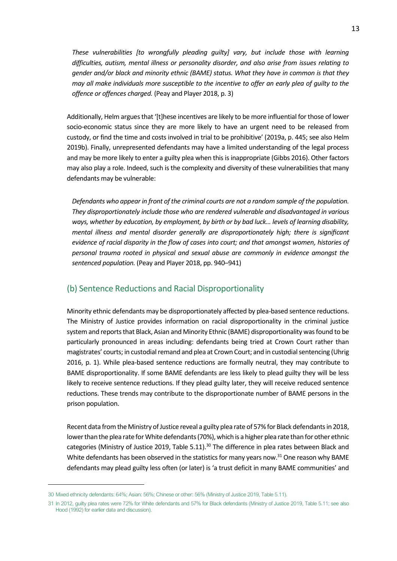*These vulnerabilities [to wrongfully pleading guilty] vary, but include those with learning difficulties, autism, mental illness or personality disorder, and also arise from issues relating to gender and/or black and minority ethnic (BAME) status. What they have in common is that they may all make individuals more susceptible to the incentive to offer an early plea of guilty to the offence or offences charged.* (Peay and Player 2018, p. 3)

Additionally, Helm argues that '[t]hese incentives are likely to be more influential for those of lower socio-economic status since they are more likely to have an urgent need to be released from custody, or find the time and costs involved in trial to be prohibitive' (2019a, p. 445; see also Helm 2019b). Finally, unrepresented defendants may have a limited understanding of the legal process and may be more likely to enter a guilty plea when this is inappropriate (Gibbs 2016). Other factors may also play a role. Indeed, such is the complexity and diversity of these vulnerabilities that many defendants may be vulnerable:

*Defendants who appear in front of the criminal courts are not a random sample of the population. They disproportionately include those who are rendered vulnerable and disadvantaged in various ways, whether by education, by employment, by birth or by bad luck… levels of learning disability, mental illness and mental disorder generally are disproportionately high; there is significant evidence of racial disparity in the flow of cases into court; and that amongst women, histories of personal trauma rooted in physical and sexual abuse are commonly in evidence amongst the sentenced population.* (Peay and Player 2018, pp. 940–941)

#### (b) Sentence Reductions and Racial Disproportionality

Minority ethnic defendants may be disproportionately affected by plea-based sentence reductions. The Ministry of Justice provides information on racial disproportionality in the criminal justice system and reports that Black, Asian and Minority Ethnic (BAME) disproportionality was found to be particularly pronounced in areas including: defendants being tried at Crown Court rather than magistrates' courts; in custodial remand and plea at Crown Court; and in custodial sentencing (Uhrig 2016, p. 1). While plea-based sentence reductions are formally neutral, they may contribute to BAME disproportionality. If some BAME defendants are less likely to plead guilty they will be less likely to receive sentence reductions. If they plead guilty later, they will receive reduced sentence reductions. These trends may contribute to the disproportionate number of BAME persons in the prison population.

Recent data from the Ministry of Justice reveal a guilty plea rate of 57% for Black defendants in 2018, lower than the plea rate for White defendants (70%), which is a higher plea rate than for other ethnic categories (Ministry of Justice 2019, Table 5.11).<sup>30</sup> The difference in plea rates between Black and White defendants has been observed in the statistics for many years now.<sup>31</sup> One reason why BAME defendants may plead guilty less often (or later) is 'a trust deficit in many BAME communities' and

<sup>30</sup> Mixed ethnicity defendants: 64%; Asian: 56%; Chinese or other: 56% (Ministry of Justice 2019, Table 5.11).

<sup>31</sup> In 2012, guilty plea rates were 72% for White defendants and 57% for Black defendants (Ministry of Justice 2019, Table 5.11; see also Hood (1992) for earlier data and discussion).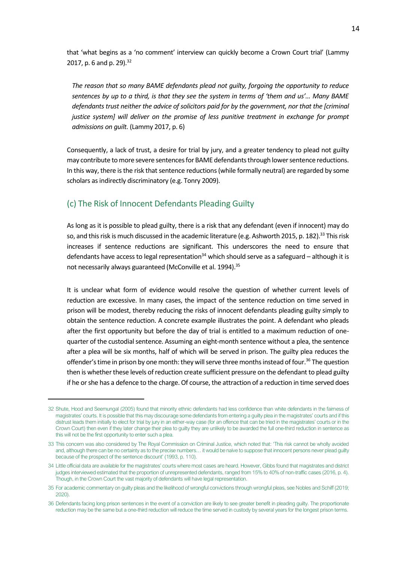that 'what begins as a 'no comment' interview can quickly become a Crown Court trial' (Lammy 2017, p. 6 and p. 29).<sup>32</sup>

*The reason that so many BAME defendants plead not guilty, forgoing the opportunity to reduce sentences by up to a third, is that they see the system in terms of 'them and us'… Many BAME defendants trust neither the advice of solicitors paid for by the government, nor that the [criminal justice system] will deliver on the promise of less punitive treatment in exchange for prompt admissions on guilt.* (Lammy 2017, p. 6)

Consequently, a lack of trust, a desire for trial by jury, and a greater tendency to plead not guilty may contribute to more severe sentences for BAME defendants through lower sentence reductions. In this way, there is the risk that sentence reductions (while formally neutral) are regarded by some scholars as indirectly discriminatory (e.g. Tonry 2009).

#### (c) The Risk of Innocent Defendants Pleading Guilty

As long as it is possible to plead guilty, there is a risk that any defendant (even if innocent) may do so, and this risk is much discussed in the academic literature (e.g. Ashworth 2015, p. 182).<sup>33</sup> This risk increases if sentence reductions are significant. This underscores the need to ensure that defendants have access to legal representation<sup>34</sup> which should serve as a safeguard – although it is not necessarily always guaranteed (McConville et al. 1994).<sup>35</sup>

It is unclear what form of evidence would resolve the question of whether current levels of reduction are excessive. In many cases, the impact of the sentence reduction on time served in prison will be modest, thereby reducing the risks of innocent defendants pleading guilty simply to obtain the sentence reduction. A concrete example illustrates the point. A defendant who pleads after the first opportunity but before the day of trial is entitled to a maximum reduction of onequarter of the custodial sentence. Assuming an eight-month sentence without a plea, the sentence after a plea will be six months, half of which will be served in prison. The guilty plea reduces the offender's time in prison by one month: they will serve three months instead of four.<sup>36</sup> The question then is whether these levels of reduction create sufficient pressure on the defendant to plead guilty if he or she has a defence to the charge. Of course, the attraction of a reduction in time served does

<sup>32</sup> Shute, Hood and Seemungal (2005) found that minority ethnic defendants had less confidence than white defendants in the fairness of magistrates' courts. It is possible that this may discourage some defendants from entering a guilty plea in the magistrates' courts and if this distrust leads them initially to elect for trial by jury in an either-way case (for an offence that can be tried in the magistrates' courts or in the Crown Court) then even if they later change their plea to guilty they are unlikely to be awarded the full one-third reduction in sentence as this will not be the first opportunity to enter such a plea.

<sup>33</sup> This concern was also considered by The Royal Commission on Criminal Justice, which noted that: 'This risk cannot be wholly avoided and, although there can be no certainty as to the precise numbers… it would be naïve to suppose that innocent persons never plead guilty because of the prospect of the sentence discount' (1993, p. 110).

<sup>34</sup> Little official data are available for the magistrates' courts where most cases are heard. However, Gibbs found that magistrates and district judges interviewed estimated that the proportion of unrepresented defendants, ranged from 15% to 40% of non-traffic cases (2016, p. 4). Though, in the Crown Court the vast majority of defendants will have legal representation.

<sup>35</sup> For academic commentary on guilty pleas and the likelihood of wrongful convictions through wrongful pleas, see Nobles and Schiff (2019; 2020).

<sup>36</sup> Defendants facing long prison sentences in the event of a conviction are likely to see greater benefit in pleading guilty. The proportionate reduction may be the same but a one-third reduction will reduce the time served in custody by several years for the longest prison terms.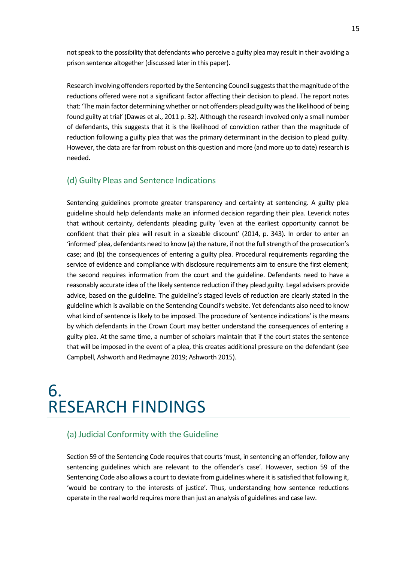not speak to the possibility that defendants who perceive a guilty plea may result in their avoiding a prison sentence altogether (discussed later in this paper).

Research involving offenders reported by the Sentencing Council suggests that the magnitude of the reductions offered were not a significant factor affecting their decision to plead. The report notes that: 'The main factor determining whether or not offenders plead guilty was the likelihood of being found guilty at trial' (Dawes et al., 2011 p. 32). Although the research involved only a small number of defendants, this suggests that it is the likelihood of conviction rather than the magnitude of reduction following a guilty plea that was the primary determinant in the decision to plead guilty. However, the data are far from robust on this question and more (and more up to date) research is needed.

#### (d) Guilty Pleas and Sentence Indications

Sentencing guidelines promote greater transparency and certainty at sentencing. A guilty plea guideline should help defendants make an informed decision regarding their plea. Leverick notes that without certainty, defendants pleading guilty 'even at the earliest opportunity cannot be confident that their plea will result in a sizeable discount' (2014, p. 343). In order to enter an 'informed' plea, defendants need to know (a) the nature, if not the full strength of the prosecution's case; and (b) the consequences of entering a guilty plea. Procedural requirements regarding the service of evidence and compliance with disclosure requirements aim to ensure the first element; the second requires information from the court and the guideline. Defendants need to have a reasonably accurate idea of the likely sentence reduction if they plead guilty. Legal advisers provide advice, based on the guideline. The guideline's staged levels of reduction are clearly stated in the guideline which is available on the Sentencing Council's website. Yet defendants also need to know what kind of sentence is likely to be imposed. The procedure of 'sentence indications' is the means by which defendants in the Crown Court may better understand the consequences of entering a guilty plea. At the same time, a number of scholars maintain that if the court states the sentence that will be imposed in the event of a plea, this creates additional pressure on the defendant (see Campbell, Ashworth and Redmayne 2019; Ashworth 2015).

### <span id="page-14-0"></span>6. RESEARCH FINDINGS

#### (a) Judicial Conformity with the Guideline

Section 59 of the Sentencing Code requires that courts 'must, in sentencing an offender, follow any sentencing guidelines which are relevant to the offender's case'. However, section 59 of the Sentencing Code also allows a court to deviate from guidelines where it is satisfied that following it, 'would be contrary to the interests of justice'. Thus, understanding how sentence reductions operate in the real world requires more than just an analysis of guidelines and case law.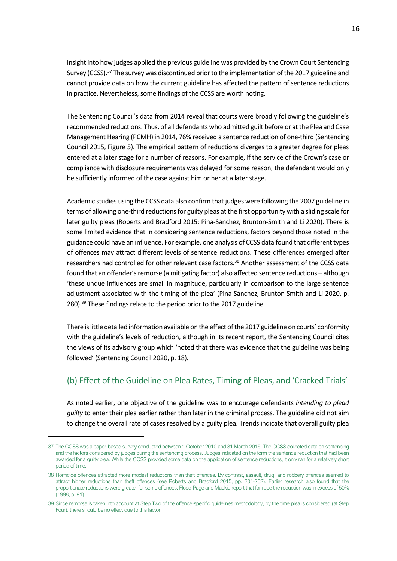Insight into how judges applied the previous guideline was provided by the Crown Court Sentencing Survey (CCSS).<sup>37</sup> The survey was discontinued prior to the implementation of the 2017 guideline and cannot provide data on how the current guideline has affected the pattern of sentence reductions in practice. Nevertheless, some findings of the CCSS are worth noting.

The Sentencing Council's data from 2014 reveal that courts were broadly following the guideline's recommended reductions. Thus, of all defendants who admitted guilt before or at the Plea and Case Management Hearing (PCMH) in 2014, 76% received a sentence reduction of one-third (Sentencing Council 2015, Figure 5). The empirical pattern of reductions diverges to a greater degree for pleas entered at a later stage for a number of reasons. For example, if the service of the Crown's case or compliance with disclosure requirements was delayed for some reason, the defendant would only be sufficiently informed of the case against him or her at a later stage.

Academic studies using the CCSS data also confirm that judges were following the 2007 guideline in terms of allowing one-third reductions for guilty pleas at the first opportunity with a sliding scale for later guilty pleas (Roberts and Bradford 2015; Pina-Sánchez, Brunton-Smith and Li 2020). There is some limited evidence that in considering sentence reductions, factors beyond those noted in the guidance could have an influence. For example, one analysis of CCSS data found that different types of offences may attract different levels of sentence reductions. These differences emerged after researchers had controlled for other relevant case factors.<sup>38</sup> Another assessment of the CCSS data found that an offender's remorse (a mitigating factor) also affected sentence reductions – although 'these undue influences are small in magnitude, particularly in comparison to the large sentence adjustment associated with the timing of the plea' (Pina-Sánchez, Brunton-Smith and Li 2020, p. 280).<sup>39</sup> These findings relate to the period prior to the 2017 guideline.

There is little detailed information available on the effect of the 2017 guideline on courts' conformity with the guideline's levels of reduction, although in its recent report, the Sentencing Council cites the views of its advisory group which 'noted that there was evidence that the guideline was being followed' (Sentencing Council 2020, p. 18).

#### (b) Effect of the Guideline on Plea Rates, Timing of Pleas, and 'Cracked Trials'

As noted earlier, one objective of the guideline was to encourage defendants *intending to plead guilty* to enter their plea earlier rather than later in the criminal process. The guideline did not aim to change the overall rate of cases resolved by a guilty plea. Trends indicate that overall guilty plea

<sup>37</sup> The CCSS was a paper-based survey conducted between 1 October 2010 and 31 March 2015. The CCSS collected data on sentencing and the factors considered by judges during the sentencing process. Judges indicated on the form the sentence reduction that had been awarded for a guilty plea. While the CCSS provided some data on the application of sentence reductions, it only ran for a relatively short period of time.

<sup>38</sup> Homicide offences attracted more modest reductions than theft offences. By contrast, assault, drug, and robbery offences seemed to attract higher reductions than theft offences (see Roberts and Bradford 2015, pp. 201-202). Earlier research also found that the proportionate reductions were greater for some offences. Flood-Page and Mackie report that for rape the reduction was in excess of 50% (1998, p. 91).

<sup>39</sup> Since remorse is taken into account at Step Two of the offence-specific guidelines methodology, by the time plea is considered (at Step Four), there should be no effect due to this factor.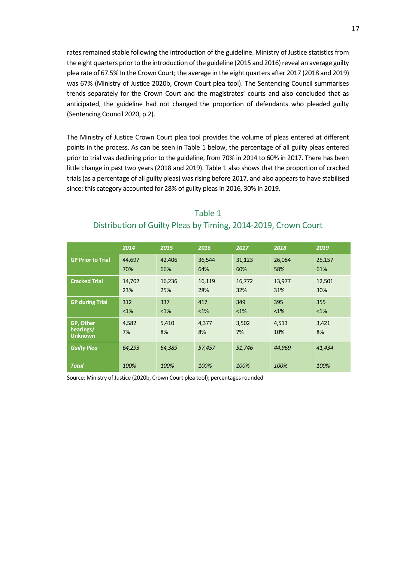rates remained stable following the introduction of the guideline. Ministry of Justice statistics from the eight quarters prior to the introduction of the guideline (2015 and 2016) reveal an average guilty plea rate of 67.5% In the Crown Court; the average in the eight quarters after 2017 (2018 and 2019) was 67% (Ministry of Justice 2020b, Crown Court plea tool). The Sentencing Council summarises trends separately for the Crown Court and the magistrates' courts and also concluded that as anticipated, the guideline had not changed the proportion of defendants who pleaded guilty (Sentencing Council 2020, p.2).

The Ministry of Justice Crown Court plea tool provides the volume of pleas entered at different points in the process. As can be seen in Table 1 below, the percentage of all guilty pleas entered prior to trial was declining prior to the guideline, from 70% in 2014 to 60% in 2017. There has been little change in past two years (2018 and 2019). Table 1 also shows that the proportion of cracked trials (as a percentage of all guilty pleas) was rising before 2017, and also appears to have stabilised since: this category accounted for 28% of guilty pleas in 2016, 30% in 2019.

| Table 1                                                        |  |
|----------------------------------------------------------------|--|
| Distribution of Guilty Pleas by Timing, 2014-2019, Crown Court |  |

|                             | 2014    | 2015   | 2016   | 2017   | 2018    | 2019    |
|-----------------------------|---------|--------|--------|--------|---------|---------|
| <b>GP Prior to Trial</b>    | 44,697  | 42,406 | 36,544 | 31,123 | 26,084  | 25,157  |
|                             | 70%     | 66%    | 64%    | 60%    | 58%     | 61%     |
| <b>Cracked Trial</b>        | 14,702  | 16,236 | 16,119 | 16,772 | 13,977  | 12,501  |
|                             | 23%     | 25%    | 28%    | 32%    | 31%     | 30%     |
| <b>GP during Trial</b>      | 312     | 337    | 417    | 349    | 395     | 355     |
|                             | $< 1\%$ | $<1\%$ | $<1\%$ | $<$ 1% | $< 1\%$ | $< 1\%$ |
| GP, Other                   | 4,582   | 5,410  | 4,377  | 3,502  | 4,513   | 3,421   |
| hearings/<br><b>Unknown</b> | 7%      | 8%     | 8%     | 7%     | 10%     | 8%      |
| <b>Guilty Plea</b>          | 64,293  | 64,389 | 57,457 | 51,746 | 44,969  | 41,434  |
|                             |         |        |        |        |         |         |
| <b>Total</b>                | 100%    | 100%   | 100%   | 100%   | 100%    | 100%    |

Source: Ministry of Justice (2020b, Crown Court plea tool); percentages rounded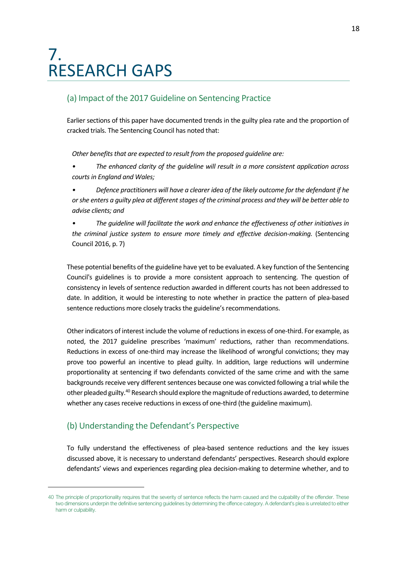### <span id="page-17-0"></span>7. RESEARCH GAPS

#### (a) Impact of the 2017 Guideline on Sentencing Practice

Earlier sections of this paper have documented trends in the guilty plea rate and the proportion of cracked trials. The Sentencing Council has noted that:

*Other benefits that are expected to result from the proposed guideline are:* 

- *The enhanced clarity of the guideline will result in a more consistent application across courts in England and Wales;*
- *Defence practitioners will have a clearer idea of the likely outcome for the defendant if he or she enters a guilty plea at different stages of the criminal process and they will be better able to advise clients; and*
- *The guideline will facilitate the work and enhance the effectiveness of other initiatives in the criminal justice system to ensure more timely and effective decision-making.* (Sentencing Council 2016, p. 7)

These potential benefits of the guideline have yet to be evaluated. A key function of the Sentencing Council's guidelines is to provide a more consistent approach to sentencing. The question of consistency in levels of sentence reduction awarded in different courts has not been addressed to date. In addition, it would be interesting to note whether in practice the pattern of plea-based sentence reductions more closely tracks the guideline's recommendations.

Other indicators of interest include the volume of reductions in excess of one-third. For example, as noted, the 2017 guideline prescribes 'maximum' reductions, rather than recommendations. Reductions in excess of one-third may increase the likelihood of wrongful convictions; they may prove too powerful an incentive to plead guilty. In addition, large reductions will undermine proportionality at sentencing if two defendants convicted of the same crime and with the same backgrounds receive very different sentences because one was convicted following a trial while the other pleaded guilty.<sup>40</sup> Research should explore the magnitude of reductions awarded, to determine whether any cases receive reductions in excess of one-third (the guideline maximum).

#### (b) Understanding the Defendant's Perspective

To fully understand the effectiveness of plea-based sentence reductions and the key issues discussed above, it is necessary to understand defendants' perspectives. Research should explore defendants' views and experiences regarding plea decision-making to determine whether, and to

<sup>40</sup> The principle of proportionality requires that the severity of sentence reflects the harm caused and the culpability of the offender. These two dimensions underpin the definitive sentencing guidelines by determining the offence category. A defendant's plea is unrelated to either harm or culpability.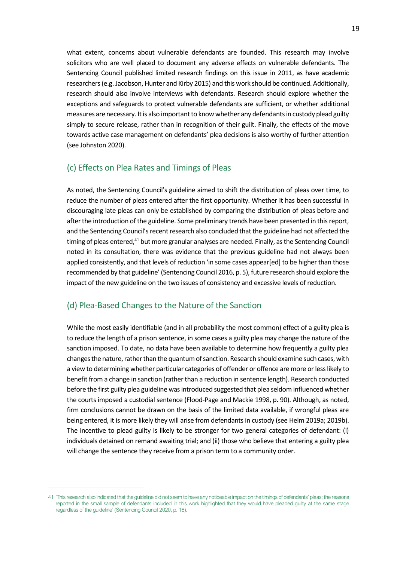what extent, concerns about vulnerable defendants are founded. This research may involve solicitors who are well placed to document any adverse effects on vulnerable defendants. The Sentencing Council published limited research findings on this issue in 2011, as have academic researchers (e.g. Jacobson, Hunter and Kirby 2015) and this work should be continued. Additionally, research should also involve interviews with defendants. Research should explore whether the exceptions and safeguards to protect vulnerable defendants are sufficient, or whether additional measures are necessary. It is also important to know whether any defendants in custody plead guilty simply to secure release, rather than in recognition of their guilt. Finally, the effects of the move towards active case management on defendants' plea decisions is also worthy of further attention (see Johnston 2020).

#### (c) Effects on Plea Rates and Timings of Pleas

As noted, the Sentencing Council's guideline aimed to shift the distribution of pleas over time, to reduce the number of pleas entered after the first opportunity. Whether it has been successful in discouraging late pleas can only be established by comparing the distribution of pleas before and after the introduction of the guideline. Some preliminary trends have been presented in this report, and the Sentencing Council's recent research also concluded that the guideline had not affected the timing of pleas entered,<sup>41</sup> but more granular analyses are needed. Finally, as the Sentencing Council noted in its consultation, there was evidence that the previous guideline had not always been applied consistently, and that levels of reduction 'in some cases appear[ed] to be higher than those recommended by that guideline' (Sentencing Council 2016, p. 5), future research should explore the impact of the new guideline on the two issues of consistency and excessive levels of reduction.

#### (d) Plea-Based Changes to the Nature of the Sanction

While the most easily identifiable (and in all probability the most common) effect of a guilty plea is to reduce the length of a prison sentence, in some cases a guilty plea may change the nature of the sanction imposed. To date, no data have been available to determine how frequently a guilty plea changes the nature, rather than the quantum of sanction. Research should examine such cases, with a view to determining whether particular categories of offender or offence are more or less likely to benefit from a change in sanction (rather than a reduction in sentence length). Research conducted before the first guilty plea guideline was introduced suggested that plea seldom influenced whether the courts imposed a custodial sentence (Flood-Page and Mackie 1998, p. 90). Although, as noted, firm conclusions cannot be drawn on the basis of the limited data available, if wrongful pleas are being entered, it is more likely they will arise from defendants in custody (see Helm 2019a; 2019b). The incentive to plead guilty is likely to be stronger for two general categories of defendant: (i) individuals detained on remand awaiting trial; and (ii) those who believe that entering a guilty plea will change the sentence they receive from a prison term to a community order.

<sup>41</sup> 'This research also indicated that the guideline did not seem to have any noticeable impact on the timings of defendants' pleas; the reasons reported in the small sample of defendants included in this work highlighted that they would have pleaded guilty at the same stage regardless of the guideline' (Sentencing Council 2020, p. 18).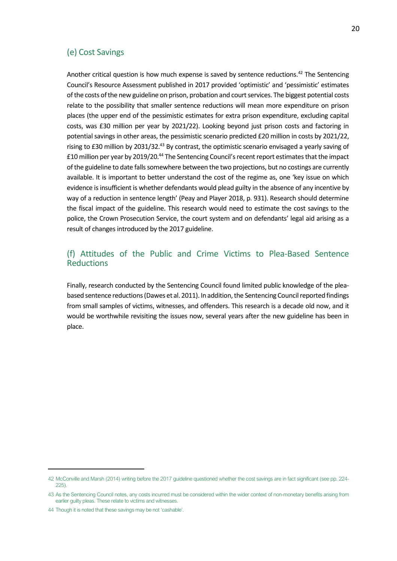#### (e) Cost Savings

Another critical question is how much expense is saved by sentence reductions.<sup>42</sup> The Sentencing Council's Resource Assessment published in 2017 provided 'optimistic' and 'pessimistic' estimates of the costs of the new guideline on prison, probation and court services. The biggest potential costs relate to the possibility that smaller sentence reductions will mean more expenditure on prison places (the upper end of the pessimistic estimates for extra prison expenditure, excluding capital costs, was £30 million per year by 2021/22). Looking beyond just prison costs and factoring in potential savings in other areas, the pessimistic scenario predicted £20 million in costs by 2021/22, rising to £30 million by 2031/32.<sup>43</sup> By contrast, the optimistic scenario envisaged a yearly saving of £10 million per year by 2019/20.<sup>44</sup> The Sentencing Council's recent report estimates that the impact of the guideline to date falls somewhere between the two projections, but no costings are currently available. It is important to better understand the cost of the regime as, one 'key issue on which evidence is insufficient is whether defendants would plead guilty in the absence of any incentive by way of a reduction in sentence length' (Peay and Player 2018, p. 931). Research should determine the fiscal impact of the guideline. This research would need to estimate the cost savings to the police, the Crown Prosecution Service, the court system and on defendants' legal aid arising as a result of changes introduced by the 2017 guideline.

#### (f) Attitudes of the Public and Crime Victims to Plea-Based Sentence **Reductions**

Finally, research conducted by the Sentencing Council found limited public knowledge of the pleabased sentence reductions (Dawes et al. 2011). In addition, the Sentencing Council reported findings from small samples of victims, witnesses, and offenders. This research is a decade old now, and it would be worthwhile revisiting the issues now, several years after the new guideline has been in place.

<sup>42</sup> McConville and Marsh (2014) writing before the 2017 guideline questioned whether the cost savings are in fact significant (see pp. 224- 225).

<sup>43</sup> As the Sentencing Council notes, any costs incurred must be considered within the wider context of non-monetary benefits arising from earlier guilty pleas. These relate to victims and witnesses.

<sup>44</sup> Though it is noted that these savings may be not 'cashable'.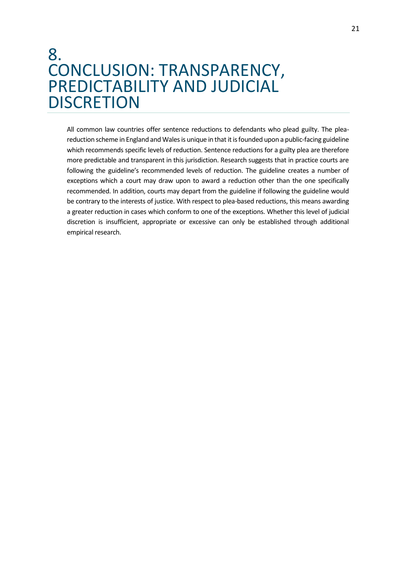### <span id="page-20-0"></span>8. CONCLUSION: TRANSPARENCY, PREDICTABILITY AND JUDICIAL **DISCRETION**

All common law countries offer sentence reductions to defendants who plead guilty. The pleareduction scheme in England and Wales is unique in that it is founded upon a public-facing guideline which recommends specific levels of reduction. Sentence reductions for a guilty plea are therefore more predictable and transparent in this jurisdiction. Research suggests that in practice courts are following the guideline's recommended levels of reduction. The guideline creates a number of exceptions which a court may draw upon to award a reduction other than the one specifically recommended. In addition, courts may depart from the guideline if following the guideline would be contrary to the interests of justice. With respect to plea-based reductions, this means awarding a greater reduction in cases which conform to one of the exceptions. Whether this level of judicial discretion is insufficient, appropriate or excessive can only be established through additional empirical research.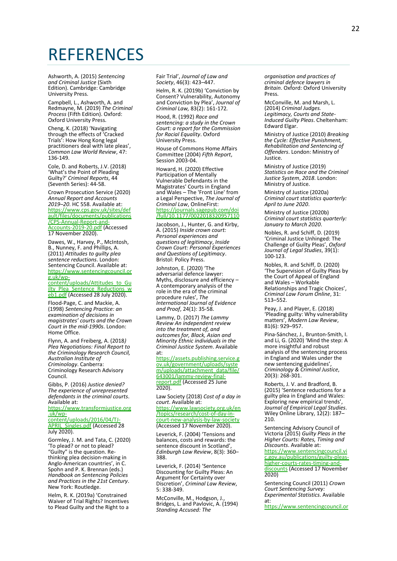### <span id="page-21-0"></span>**REFERENCES**

Ashworth, A. (2015) *Sentencing and Criminal Justice* (Sixth Edition). Cambridge: Cambridge University Press.

Campbell, L., Ashworth, A. and Redmayne, M. (2019) *The Criminal Process* (Fifth Edition). Oxford: Oxford University Press.

Cheng, K. (2018) 'Navigating through the effects of 'Cracked Trials': How Hong Kong legal practitioners deal with late pleas', *Common Law World Review*, 47: 136-149.

Cole, D. and Roberts, J.V. (2018) 'What's the Point of Pleading Guilty?' *Criminal Reports*, 44 (Seventh Series): 44-58.

Crown Prosecution Service (2020) *Annual Report and Accounts 2019–20*. HC 558. Available at: [https://www.cps.gov.uk/sites/def](https://www.cps.gov.uk/sites/default/files/documents/publications/CPS-Annual-Report-and-Accounts-2019-20.pdf) [ault/files/documents/publications](https://www.cps.gov.uk/sites/default/files/documents/publications/CPS-Annual-Report-and-Accounts-2019-20.pdf) [/CPS-Annual-Report-and-](https://www.cps.gov.uk/sites/default/files/documents/publications/CPS-Annual-Report-and-Accounts-2019-20.pdf)[Accounts-2019-20.pdf](https://www.cps.gov.uk/sites/default/files/documents/publications/CPS-Annual-Report-and-Accounts-2019-20.pdf) (Accessed 17 November 2020).

Dawes, W., Harvey, P., McIntosh, B., Nunney, F. and Phillips, A. (2011) *Attitudes to guilty plea sentence reductions*. London: Sentencing Council. Available at: [https://www.sentencingcouncil.or](https://www.sentencingcouncil.org.uk/wp-content/uploads/Attitudes_to_Guilty_Plea_Sentence_Reductions_web1.pdf) [g.uk/wp-](https://www.sentencingcouncil.org.uk/wp-content/uploads/Attitudes_to_Guilty_Plea_Sentence_Reductions_web1.pdf)

[content/uploads/Attitudes\\_to\\_Gu](https://www.sentencingcouncil.org.uk/wp-content/uploads/Attitudes_to_Guilty_Plea_Sentence_Reductions_web1.pdf) [ilty\\_Plea\\_Sentence\\_Reductions\\_w](https://www.sentencingcouncil.org.uk/wp-content/uploads/Attitudes_to_Guilty_Plea_Sentence_Reductions_web1.pdf) [eb1.pdf](https://www.sentencingcouncil.org.uk/wp-content/uploads/Attitudes_to_Guilty_Plea_Sentence_Reductions_web1.pdf) (Accessed 28 July 2020).

Flood-Page, C. and Mackie, A. (1998) *Sentencing Practice: an examination of decisions in magistrates' courts and the Crown Court in the mid-1990s*. London: Home Office.

Flynn, A. and Freiberg, A. (2018*) Plea Negotiations: Final Report to the Criminology Research Council, Australian Institute of Criminology*. Canberra: Criminology Research Advisory Council.

Gibbs, P. (2016) *Justice denied? The experience of unrepresented defendants in the criminal courts*. Available at:

[https://www.transformjustice.org](https://www.transformjustice.org.uk/wp-content/uploads/2016/04/TJ-APRIL_Singles.pdf) [.uk/wp](https://www.transformjustice.org.uk/wp-content/uploads/2016/04/TJ-APRIL_Singles.pdf)[content/uploads/2016/04/TJ-](https://www.transformjustice.org.uk/wp-content/uploads/2016/04/TJ-APRIL_Singles.pdf)

**APRIL Singles.pdf (Accessed 28** July 2020).

Gormley, J. M. and Tata, C. (2020) 'To plead? or not to plead? "Guilty" is the question. Rethinking plea decision-making in Anglo-American countries', in C. Spohn and P. K. Brennan (eds.) *Handbook on Sentencing Policies and Practices in the 21st Century*. New York: Routledge.

Helm, R. K. (2019a) 'Constrained Waiver of Trial Rights? Incentives to Plead Guilty and the Right to a Fair Trial', *Journal of Law and Society*, 46(3): 423–447.

Helm, R. K. (2019b) 'Conviction by Consent? Vulnerability, Autonomy and Conviction by Plea', *Journal of Criminal Law,* 83(2): 161-172*.*

Hood, R. (1992) *Race and sentencing: a study in the Crown Court: a report for the Commission for Racial Equality*. Oxford University Press.

House of Commons Home Affairs Committee (2004) *Fifth Report*, Session 2003-04.

Howard, H. (2020) Effective Participation of Mentally Vulnerable Defendants in the Magistrates' Courts in England and Wales – The 'Front Line' from a Legal Perspective, *The Journal of Criminal Law*, OnlineFirst: [https://journals.sagepub.com/doi](https://journals.sagepub.com/doi/full/10.1177/0022018320957110) [/full/10.1177/0022018320957110](https://journals.sagepub.com/doi/full/10.1177/0022018320957110)

Jacobson, J., Hunter, G. and Kirby, A. (2015) *Inside crown court: Personal experiences and questions of legitimacy*, *Inside Crown Court: Personal Experiences and Questions of Legitimacy*. Bristol: Policy Press.

Johnston, E. (2020) 'The adversarial defence lawyer: Myths, disclosure and efficiency – A contemporary analysis of the role in the era of the criminal procedure rules', *The International Journal of Evidence and Proof*, 24(1): 35-58.

Lammy, D. (2017) *The Lammy Review An independent review into the treatment of, and outcomes for, Black, Asian and Minority Ethnic individuals in the Criminal Justice System*. Available

at:<br><u>https:</u> <u>//assets.publishing.service.g</u> [ov.uk/government/uploads/syste](https://assets.publishing.service.gov.uk/government/uploads/system/uploads/attachment_data/file/643001/lammy-review-final-report.pdf) [m/uploads/attachment\\_data/file/](https://assets.publishing.service.gov.uk/government/uploads/system/uploads/attachment_data/file/643001/lammy-review-final-report.pdf) [643001/lammy-review-final](https://assets.publishing.service.gov.uk/government/uploads/system/uploads/attachment_data/file/643001/lammy-review-final-report.pdf)[report.pdf](https://assets.publishing.service.gov.uk/government/uploads/system/uploads/attachment_data/file/643001/lammy-review-final-report.pdf) (Accessed 25 June 2020).

Law Society (2018) *Cost of a day in court*. Available at:

[https://www.lawsociety.org.uk/en](https://www.lawsociety.org.uk/en/topics/research/cost-of-day-in-court-new-analysis-by-law-society) [/topics/research/cost-of-day-in](https://www.lawsociety.org.uk/en/topics/research/cost-of-day-in-court-new-analysis-by-law-society)[court-new-analysis-by-law-society](https://www.lawsociety.org.uk/en/topics/research/cost-of-day-in-court-new-analysis-by-law-society) (Accessed 17 November 2020).

Leverick, F. (2004) 'Tensions and balances, costs and rewards: the sentence discount in Scotland', *Edinburgh Law Review*, 8(3): 360– 388.

Leverick, F. (2014) 'Sentence Discounting for Guilty Pleas: An Argument for Certainty over Discretion', *Criminal Law Review*, 5: 338-349.

McConville, M., Hodgson, J., Bridges, L. and Pavlovic, A. (1994) *Standing Accused: The* 

*organisation and practices of criminal defence lawyers in Britain*. Oxford: Oxford University Press.

McConville, M. and Marsh, L. (2014) *Criminal Judges. Legitimacy, Courts and State-Induced Guilty Pleas*. Cheltenham: Edward Elgar.

Ministry of Justice (2010) *Breaking the Cycle: Effective Punishment, Rehabilitation and Sentencing of Offenders*. London: Ministry of Justice.

Ministry of Justice (2019) *Statistics on Race and the Criminal Justice System*, *2018*. London: Ministry of Justice.

Ministry of Justice (2020a) *Criminal court statistics quarterly: April to June 2020*.

Ministry of Justice (2020b) *Criminal court statistics quarterly: January to March 2020*.

Nobles, R. and Schiff, D. (2019) 'Criminal Justice Unhinged: The Challenge of Guilty Pleas', *Oxford Journal of Legal Studies*, 39(1): 100-123.

Nobles, R. and Schiff, D. (2020) 'The Supervision of Guilty Pleas by the Court of Appeal of England and Wales – Workable Relationships and Tragic Choices', *Criminal Law Forum Online*, 31: 513–552.

Peay, J. and Player, E. (2018) 'Pleading guilty: Why vulnerability matters', *Modern Law Review*, 81(6): 929–957.

Pina-Sánchez, J., Brunton-Smith, I. and Li, G. (2020) 'Mind the step: A more insightful and robust analysis of the sentencing process in England and Wales under the new sentencing guidelines', *Criminology & Criminal Justice*, 20(3): 268-301.

Roberts, J. V. and Bradford, B. (2015) 'Sentence reductions for a guilty plea in England and Wales: Exploring new empirical trends', *Journal of Empirical Legal Studies*. Wiley Online Library, 12(2): 187– 210.

Sentencing Advisory Council of Victoria (2015) *Guilty Pleas in the Higher Courts: Rates, Timing and Discounts*. Available at:

https://www.sentencingcouncil.v [c.gov.au/publications/guilty-pleas](https://www.sentencingcouncil.vic.gov.au/publications/guilty-pleas-higher-courts-rates-timing-and-discounts)[higher-courts-rates-timing-and](https://www.sentencingcouncil.vic.gov.au/publications/guilty-pleas-higher-courts-rates-timing-and-discounts)[discounts](https://www.sentencingcouncil.vic.gov.au/publications/guilty-pleas-higher-courts-rates-timing-and-discounts) (Accessed 17 November 2020)

Sentencing Council (2011) *Crown Court Sentencing Survey: Experimental Statistics*. Available at:

[https://www.sentencingcouncil.or](https://www.sentencingcouncil.org.uk/wp-content/uploads/CCSS_Experimental_Release_web.pdf)